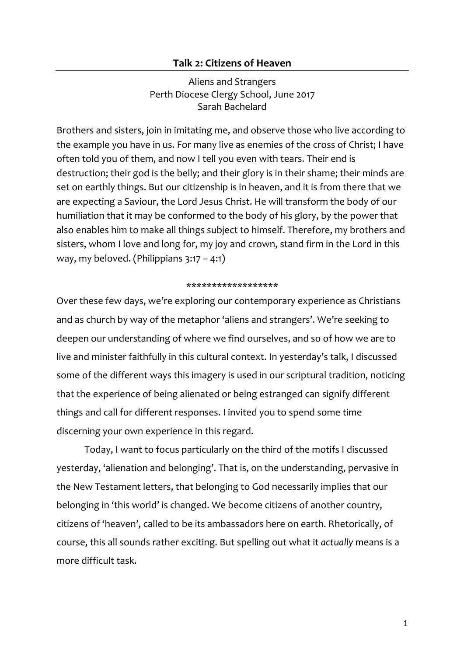## **Talk 2: Citizens of Heaven**

Aliens and Strangers Perth Diocese Clergy School, June 2017 Sarah Bachelard

Brothers and sisters, join in imitating me, and observe those who live according to the example you have in us. For many live as enemies of the cross of Christ; I have often told you of them, and now I tell you even with tears. Their end is destruction; their god is the belly; and their glory is in their shame; their minds are set on earthly things. But our citizenship is in heaven, and it is from there that we are expecting a Saviour, the Lord Jesus Christ. He will transform the body of our humiliation that it may be conformed to the body of his glory, by the power that also enables him to make all things subject to himself. Therefore, my brothers and sisters, whom I love and long for, my joy and crown, stand firm in the Lord in this way, my beloved. (Philippians 3:17 – 4:1)

#### \*\*\*\*\*\*\*\*\*\*\*\*\*\*\*\*\*\*

Over these few days, we're exploring our contemporary experience as Christians and as church by way of the metaphor 'aliens and strangers'. We're seeking to deepen our understanding of where we find ourselves, and so of how we are to live and minister faithfully in this cultural context. In yesterday's talk, I discussed some of the different ways this imagery is used in our scriptural tradition, noticing that the experience of being alienated or being estranged can signify different things and call for different responses. I invited you to spend some time discerning your own experience in this regard.

Today, I want to focus particularly on the third of the motifs I discussed yesterday, 'alienation and belonging'. That is, on the understanding, pervasive in the New Testament letters, that belonging to God necessarily implies that our belonging in 'this world' is changed. We become citizens of another country, citizens of 'heaven', called to be its ambassadors here on earth. Rhetorically, of course, this all sounds rather exciting. But spelling out what it *actually* means is a more difficult task.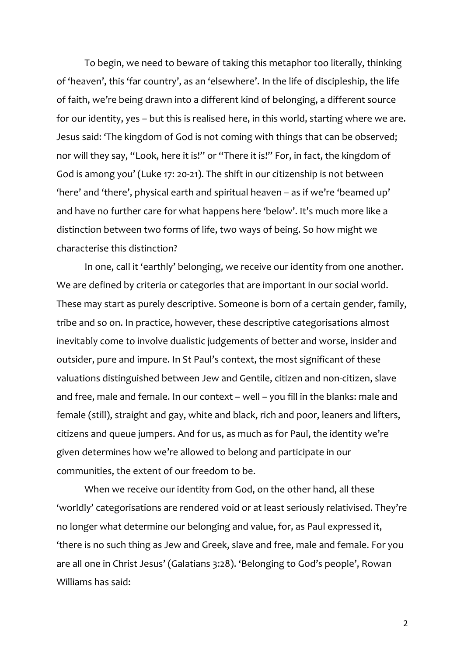To begin, we need to beware of taking this metaphor too literally, thinking of 'heaven', this 'far country', as an 'elsewhere'. In the life of discipleship, the life of faith, we're being drawn into a different kind of belonging, a different source for our identity, yes – but this is realised here, in this world, starting where we are. Jesus said: 'The kingdom of God is not coming with things that can be observed; nor will they say, "Look, here it is!" or "There it is!" For, in fact, the kingdom of God is among you' (Luke 17: 20-21). The shift in our citizenship is not between 'here' and 'there', physical earth and spiritual heaven – as if we're 'beamed up' and have no further care for what happens here 'below'. It's much more like a distinction between two forms of life, two ways of being. So how might we characterise this distinction?

In one, call it 'earthly' belonging, we receive our identity from one another. We are defined by criteria or categories that are important in our social world. These may start as purely descriptive. Someone is born of a certain gender, family, tribe and so on. In practice, however, these descriptive categorisations almost inevitably come to involve dualistic judgements of better and worse, insider and outsider, pure and impure. In St Paul's context, the most significant of these valuations distinguished between Jew and Gentile, citizen and non-citizen, slave and free, male and female. In our context – well – you fill in the blanks: male and female (still), straight and gay, white and black, rich and poor, leaners and lifters, citizens and queue jumpers. And for us, as much as for Paul, the identity we're given determines how we're allowed to belong and participate in our communities, the extent of our freedom to be.

When we receive our identity from God, on the other hand, all these 'worldly' categorisations are rendered void or at least seriously relativised. They're no longer what determine our belonging and value, for, as Paul expressed it, 'there is no such thing as Jew and Greek, slave and free, male and female. For you are all one in Christ Jesus' (Galatians 3:28). 'Belonging to God's people', Rowan Williams has said: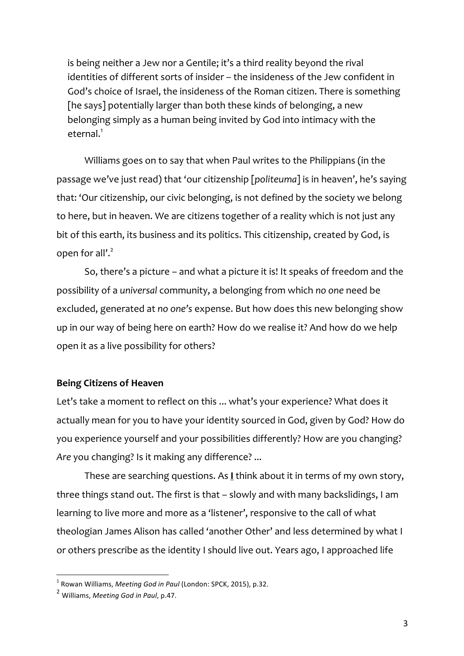is being neither a Jew nor a Gentile; it's a third reality beyond the rival identities of different sorts of insider – the insideness of the Jew confident in God's choice of Israel, the insideness of the Roman citizen. There is something [he says] potentially larger than both these kinds of belonging, a new belonging simply as a human being invited by God into intimacy with the eternal.<sup>1</sup>

Williams goes on to say that when Paul writes to the Philippians (in the passage we've just read) that 'our citizenship [*politeuma*] is in heaven', he's saying that: 'Our citizenship, our civic belonging, is not defined by the society we belong to here, but in heaven. We are citizens together of a reality which is not just any bit of this earth, its business and its politics. This citizenship, created by God, is open for all'.<sup>2</sup>

So, there's a picture – and what a picture it is! It speaks of freedom and the possibility of a *universal* community, a belonging from which *no one* need be excluded, generated at *no one's* expense. But how does this new belonging show up in our way of being here on earth? How do we realise it? And how do we help open it as a live possibility for others?

# **Being Citizens of Heaven**

Let's take a moment to reflect on this ... what's your experience? What does it actually mean for you to have your identity sourced in God, given by God? How do you experience yourself and your possibilities differently? How are you changing? *Are* you changing? Is it making any difference? ...

These are searching questions. As **I** think about it in terms of my own story, three things stand out. The first is that – slowly and with many backslidings, I am learning to live more and more as a 'listener', responsive to the call of what theologian James Alison has called 'another Other' and less determined by what I or others prescribe as the identity I should live out. Years ago, I approached life

<sup>&</sup>lt;sup>1</sup> Rowan Williams, *Meeting God in Paul* (London: SPCK, 2015), p.32.

<sup>&</sup>lt;sup>2</sup> Williams, *Meeting God in Paul*, p.47.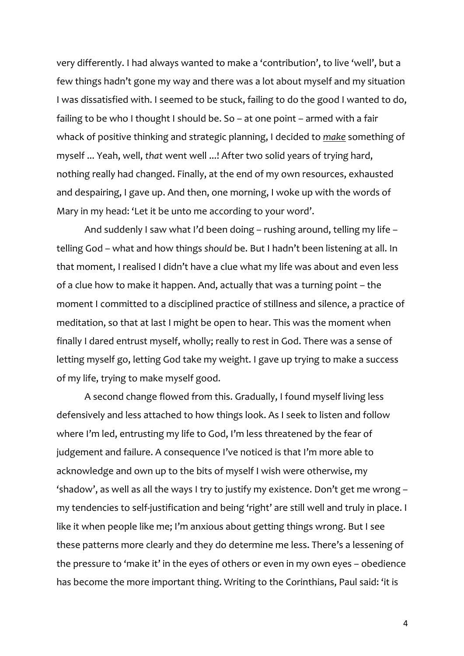very differently. I had always wanted to make a 'contribution', to live 'well', but a few things hadn't gone my way and there was a lot about myself and my situation I was dissatisfied with. I seemed to be stuck, failing to do the good I wanted to do, failing to be who I thought I should be. So – at one point – armed with a fair whack of positive thinking and strategic planning, I decided to *make* something of myself ... Yeah, well, *that* went well ...! After two solid years of trying hard, nothing really had changed. Finally, at the end of my own resources, exhausted and despairing, I gave up. And then, one morning, I woke up with the words of Mary in my head: 'Let it be unto me according to your word'.

And suddenly I saw what I'd been doing – rushing around, telling my life – telling God – what and how things *should* be. But I hadn't been listening at all. In that moment, I realised I didn't have a clue what my life was about and even less of a clue how to make it happen. And, actually that was a turning point – the moment I committed to a disciplined practice of stillness and silence, a practice of meditation, so that at last I might be open to hear. This was the moment when finally I dared entrust myself, wholly; really to rest in God. There was a sense of letting myself go, letting God take my weight. I gave up trying to make a success of my life, trying to make myself good.

A second change flowed from this. Gradually, I found myself living less defensively and less attached to how things look. As I seek to listen and follow where I'm led, entrusting my life to God, I'm less threatened by the fear of judgement and failure. A consequence I've noticed is that I'm more able to acknowledge and own up to the bits of myself I wish were otherwise, my 'shadow', as well as all the ways I try to justify my existence. Don't get me wrong – my tendencies to self-justification and being 'right' are still well and truly in place. I like it when people like me; I'm anxious about getting things wrong. But I see these patterns more clearly and they do determine me less. There's a lessening of the pressure to 'make it' in the eyes of others or even in my own eyes – obedience has become the more important thing. Writing to the Corinthians, Paul said: 'it is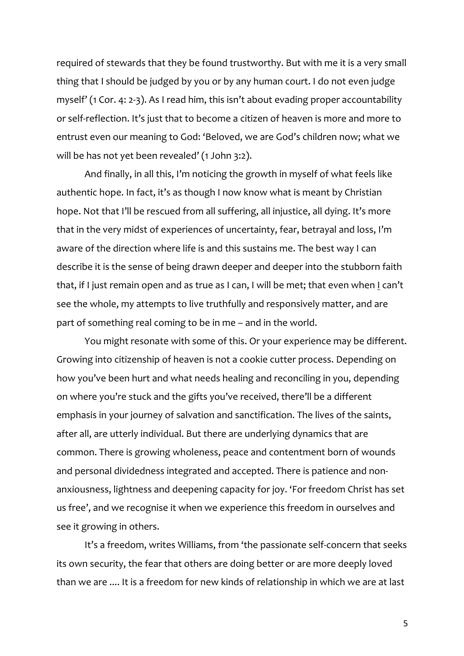required of stewards that they be found trustworthy. But with me it is a very small thing that I should be judged by you or by any human court. I do not even judge myself' (1 Cor. 4: 2-3). As I read him, this isn't about evading proper accountability or self-reflection. It's just that to become a citizen of heaven is more and more to entrust even our meaning to God: 'Beloved, we are God's children now; what we will be has not yet been revealed' (1 John 3:2).

And finally, in all this, I'm noticing the growth in myself of what feels like authentic hope. In fact, it's as though I now know what is meant by Christian hope. Not that I'll be rescued from all suffering, all injustice, all dying. It's more that in the very midst of experiences of uncertainty, fear, betrayal and loss, I'm aware of the direction where life is and this sustains me. The best way I can describe it is the sense of being drawn deeper and deeper into the stubborn faith that, if I just remain open and as true as I can, I will be met; that even when I can't see the whole, my attempts to live truthfully and responsively matter, and are part of something real coming to be in me – and in the world.

You might resonate with some of this. Or your experience may be different. Growing into citizenship of heaven is not a cookie cutter process. Depending on how you've been hurt and what needs healing and reconciling in you, depending on where you're stuck and the gifts you've received, there'll be a different emphasis in your journey of salvation and sanctification. The lives of the saints, after all, are utterly individual. But there are underlying dynamics that are common. There is growing wholeness, peace and contentment born of wounds and personal dividedness integrated and accepted. There is patience and nonanxiousness, lightness and deepening capacity for joy. 'For freedom Christ has set us free', and we recognise it when we experience this freedom in ourselves and see it growing in others.

It's a freedom, writes Williams, from 'the passionate self-concern that seeks its own security, the fear that others are doing better or are more deeply loved than we are .... It is a freedom for new kinds of relationship in which we are at last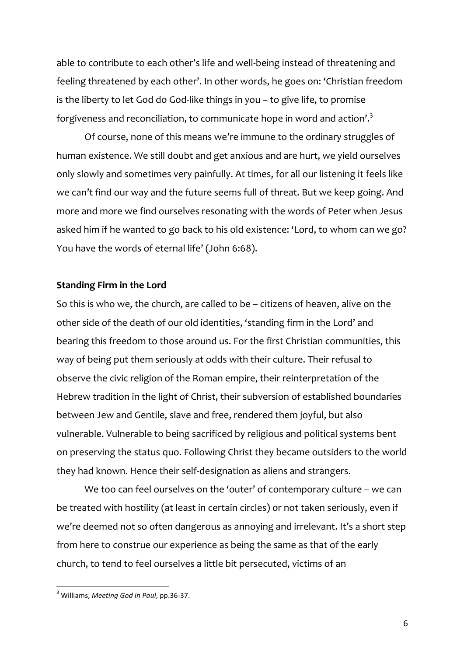able to contribute to each other's life and well-being instead of threatening and feeling threatened by each other'. In other words, he goes on: 'Christian freedom is the liberty to let God do God-like things in you – to give life, to promise forgiveness and reconciliation, to communicate hope in word and action'. $^3$ 

Of course, none of this means we're immune to the ordinary struggles of human existence. We still doubt and get anxious and are hurt, we yield ourselves only slowly and sometimes very painfully. At times, for all our listening it feels like we can't find our way and the future seems full of threat. But we keep going. And more and more we find ourselves resonating with the words of Peter when Jesus asked him if he wanted to go back to his old existence: 'Lord, to whom can we go? You have the words of eternal life' (John 6:68).

## **Standing Firm in the Lord**

So this is who we, the church, are called to be – citizens of heaven, alive on the other side of the death of our old identities, 'standing firm in the Lord' and bearing this freedom to those around us. For the first Christian communities, this way of being put them seriously at odds with their culture. Their refusal to observe the civic religion of the Roman empire, their reinterpretation of the Hebrew tradition in the light of Christ, their subversion of established boundaries between Jew and Gentile, slave and free, rendered them joyful, but also vulnerable. Vulnerable to being sacrificed by religious and political systems bent on preserving the status quo. Following Christ they became outsiders to the world they had known. Hence their self-designation as aliens and strangers.

We too can feel ourselves on the 'outer' of contemporary culture – we can be treated with hostility (at least in certain circles) or not taken seriously, even if we're deemed not so often dangerous as annoying and irrelevant. It's a short step from here to construe our experience as being the same as that of the early church, to tend to feel ourselves a little bit persecuted, victims of an

<sup>&</sup>lt;sup>3</sup> Williams, *Meeting God in Paul*, pp.36-37.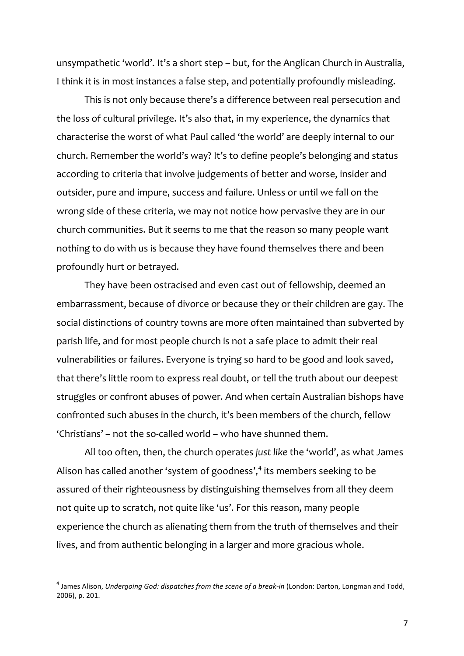unsympathetic 'world'. It's a short step – but, for the Anglican Church in Australia, I think it is in most instances a false step, and potentially profoundly misleading.

This is not only because there's a difference between real persecution and the loss of cultural privilege. It's also that, in my experience, the dynamics that characterise the worst of what Paul called 'the world' are deeply internal to our church. Remember the world's way? It's to define people's belonging and status according to criteria that involve judgements of better and worse, insider and outsider, pure and impure, success and failure. Unless or until we fall on the wrong side of these criteria, we may not notice how pervasive they are in our church communities. But it seems to me that the reason so many people want nothing to do with us is because they have found themselves there and been profoundly hurt or betrayed.

They have been ostracised and even cast out of fellowship, deemed an embarrassment, because of divorce or because they or their children are gay. The social distinctions of country towns are more often maintained than subverted by parish life, and for most people church is not a safe place to admit their real vulnerabilities or failures. Everyone is trying so hard to be good and look saved, that there's little room to express real doubt, or tell the truth about our deepest struggles or confront abuses of power. And when certain Australian bishops have confronted such abuses in the church, it's been members of the church, fellow 'Christians' – not the so-called world – who have shunned them.

All too often, then, the church operates *just like* the 'world', as what James Alison has called another 'system of goodness', $4$  its members seeking to be assured of their righteousness by distinguishing themselves from all they deem not quite up to scratch, not quite like 'us'. For this reason, many people experience the church as alienating them from the truth of themselves and their lives, and from authentic belonging in a larger and more gracious whole.

<sup>&</sup>lt;sup>4</sup> James Alison, *Undergoing God: dispatches from the scene of a break-in* (London: Darton, Longman and Todd, 2006), p. 201.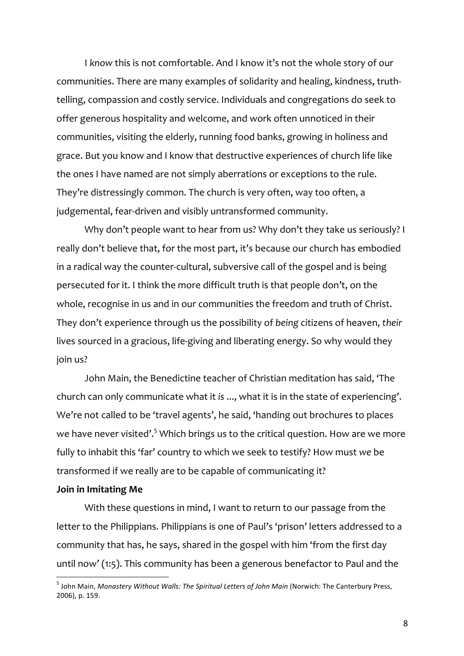I *know* this is not comfortable. And I know it's not the whole story of our communities. There are many examples of solidarity and healing, kindness, truthtelling, compassion and costly service. Individuals and congregations do seek to offer generous hospitality and welcome, and work often unnoticed in their communities, visiting the elderly, running food banks, growing in holiness and grace. But you know and I know that destructive experiences of church life like the ones I have named are not simply aberrations or exceptions to the rule. They're distressingly common. The church is very often, way too often, a judgemental, fear-driven and visibly untransformed community.

Why don't people want to hear from us? Why don't they take us seriously? I really don't believe that, for the most part, it's because our church has embodied in a radical way the counter-cultural, subversive call of the gospel and is being persecuted for it. I think the more difficult truth is that people don't, on the whole, recognise in us and in our communities the freedom and truth of Christ. They don't experience through us the possibility of *being* citizens of heaven, *their* lives sourced in a gracious, life-giving and liberating energy. So why would they join us?

John Main, the Benedictine teacher of Christian meditation has said, 'The church can only communicate what it *is* ..., what it is in the state of experiencing'. We're not called to be 'travel agents', he said, 'handing out brochures to places we have never visited'.<sup>5</sup> Which brings us to the critical question. How are we more fully to inhabit this 'far' country to which we seek to testify? How must *we* be transformed if we really are to be capable of communicating it?

#### **Join in Imitating Me**

With these questions in mind, I want to return to our passage from the letter to the Philippians. Philippians is one of Paul's 'prison' letters addressed to a community that has, he says, shared in the gospel with him 'from the first day until now' (1:5). This community has been a generous benefactor to Paul and the

<sup>&</sup>lt;sup>5</sup> John Main, *Monastery Without Walls: The Spiritual Letters of John Main* (Norwich: The Canterbury Press, 2006), p. 159.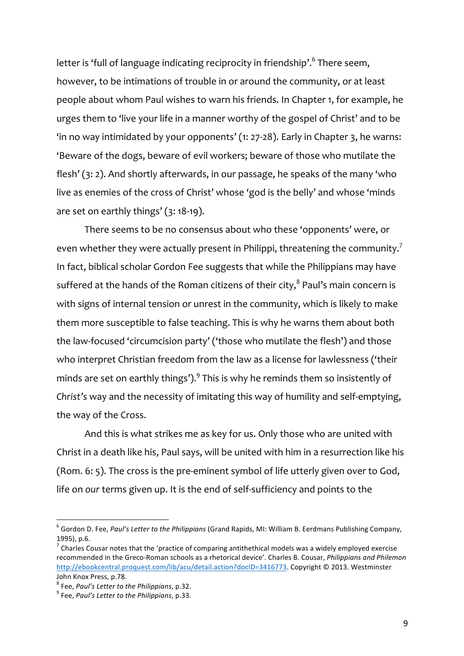letter is 'full of language indicating reciprocity in friendship'.<sup>6</sup> There seem, however, to be intimations of trouble in or around the community, or at least people about whom Paul wishes to warn his friends. In Chapter 1, for example, he urges them to 'live your life in a manner worthy of the gospel of Christ' and to be 'in no way intimidated by your opponents' (1: 27-28). Early in Chapter 3, he warns: 'Beware of the dogs, beware of evil workers; beware of those who mutilate the flesh' (3: 2). And shortly afterwards, in our passage, he speaks of the many 'who live as enemies of the cross of Christ' whose 'god is the belly' and whose 'minds are set on earthly things' (3: 18-19).

There seems to be no consensus about who these 'opponents' were, or even whether they were actually present in Philippi, threatening the community. $^7$ In fact, biblical scholar Gordon Fee suggests that while the Philippians may have suffered at the hands of the Roman citizens of their city, $^8$  Paul's main concern is with signs of internal tension or unrest in the community, which is likely to make them more susceptible to false teaching. This is why he warns them about both the law-focused 'circumcision party' ('those who mutilate the flesh') and those who interpret Christian freedom from the law as a license for lawlessness ('their minds are set on earthly things'). $^9$  This is why he reminds them so insistently of *Christ's* way and the necessity of imitating this way of humility and self-emptying, the way of the Cross.

And this is what strikes me as key for us. Only those who are united with Christ in a death like his, Paul says, will be united with him in a resurrection like his (Rom. 6: 5). The cross is the pre-eminent symbol of life utterly given over to God, life on *our* terms given up. It is the end of self-sufficiency and points to the

<sup>&</sup>lt;sup>6</sup> Gordon D. Fee, *Paul's Letter to the Philippians* (Grand Rapids, MI: William B. Eerdmans Publishing Company, 1995), p.6.

 $^7$  Charles Cousar notes that the 'practice of comparing antithethical models was a widely employed exercise recommended in the Greco-Roman schools as a rhetorical device'. Charles B. Cousar, *Philippians and Philemon* http://ebookcentral.proquest.com/lib/acu/detail.action?docID=3416773. Copyright © 2013. Westminster John Knox Press, p.78.

<sup>&</sup>lt;sup>8</sup> Fee, Paul's Letter to the Philippians, p.32.<br><sup>9</sup> Fee, Paul's Letter to the Philippians, p.33.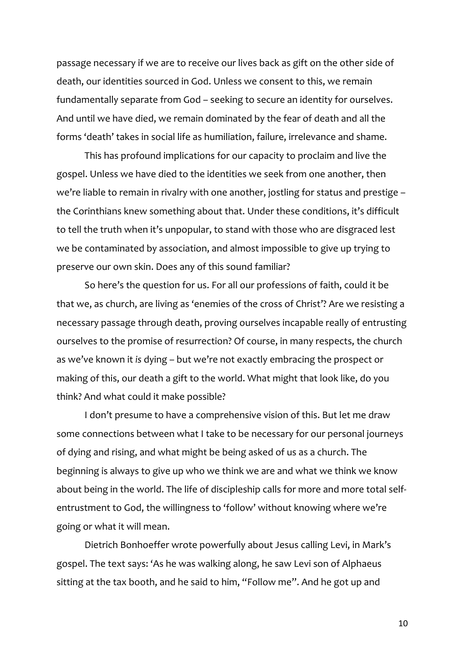passage necessary if we are to receive our lives back as gift on the other side of death, our identities sourced in God. Unless we consent to this, we remain fundamentally separate from God – seeking to secure an identity for ourselves. And until we have died, we remain dominated by the fear of death and all the forms 'death' takes in social life as humiliation, failure, irrelevance and shame.

This has profound implications for our capacity to proclaim and live the gospel. Unless we have died to the identities we seek from one another, then we're liable to remain in rivalry with one another, jostling for status and prestige – the Corinthians knew something about that. Under these conditions, it's difficult to tell the truth when it's unpopular, to stand with those who are disgraced lest we be contaminated by association, and almost impossible to give up trying to preserve our own skin. Does any of this sound familiar?

So here's the question for us. For all our professions of faith, could it be that we, as church, are living as 'enemies of the cross of Christ'? Are we resisting a necessary passage through death, proving ourselves incapable really of entrusting ourselves to the promise of resurrection? Of course, in many respects, the church as we've known it *is* dying – but we're not exactly embracing the prospect or making of this, our death a gift to the world. What might that look like, do you think? And what could it make possible?

I don't presume to have a comprehensive vision of this. But let me draw some connections between what I take to be necessary for our personal journeys of dying and rising, and what might be being asked of us as a church. The beginning is always to give up who we think we are and what we think we know about being in the world. The life of discipleship calls for more and more total selfentrustment to God, the willingness to 'follow' without knowing where we're going or what it will mean.

Dietrich Bonhoeffer wrote powerfully about Jesus calling Levi, in Mark's gospel. The text says: 'As he was walking along, he saw Levi son of Alphaeus sitting at the tax booth, and he said to him, "Follow me". And he got up and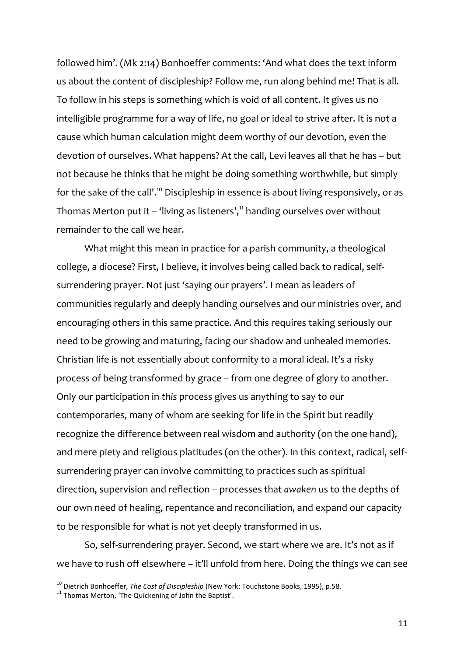followed him'. (Mk 2:14) Bonhoeffer comments: 'And what does the text inform us about the content of discipleship? Follow me, run along behind me! That is all. To follow in his steps is something which is void of all content. It gives us no intelligible programme for a way of life, no goal or ideal to strive after. It is not a cause which human calculation might deem worthy of our devotion, even the devotion of ourselves. What happens? At the call, Levi leaves all that he has – but not because he thinks that he might be doing something worthwhile, but simply for the sake of the call'.<sup>10</sup> Discipleship in essence is about living responsively, or as Thomas Merton put it – 'living as listeners', $11$  handing ourselves over without remainder to the call we hear.

What might this mean in practice for a parish community, a theological college, a diocese? First, I believe, it involves being called back to radical, selfsurrendering prayer. Not just 'saying our prayers'. I mean as leaders of communities regularly and deeply handing ourselves and our ministries over, and encouraging others in this same practice. And this requires taking seriously our need to be growing and maturing, facing our shadow and unhealed memories. Christian life is not essentially about conformity to a moral ideal. It's a risky process of being transformed by grace – from one degree of glory to another. Only our participation in *this* process gives us anything to say to our contemporaries, many of whom are seeking for life in the Spirit but readily recognize the difference between real wisdom and authority (on the one hand), and mere piety and religious platitudes (on the other). In this context, radical, selfsurrendering prayer can involve committing to practices such as spiritual direction, supervision and reflection – processes that *awaken* us to the depths of our own need of healing, repentance and reconciliation, and expand our capacity to be responsible for what is not yet deeply transformed in us.

So, self-surrendering prayer. Second, we start where we are. It's not as if we have to rush off elsewhere – it'll unfold from here. Doing the things we can see

<sup>&</sup>lt;sup>10</sup> Dietrich Bonhoeffer, *The Cost of Discipleship* (New York: Touchstone Books, 1995), p.58. <sup>11</sup> Thomas Merton. 'The Quickening of John the Baptist'.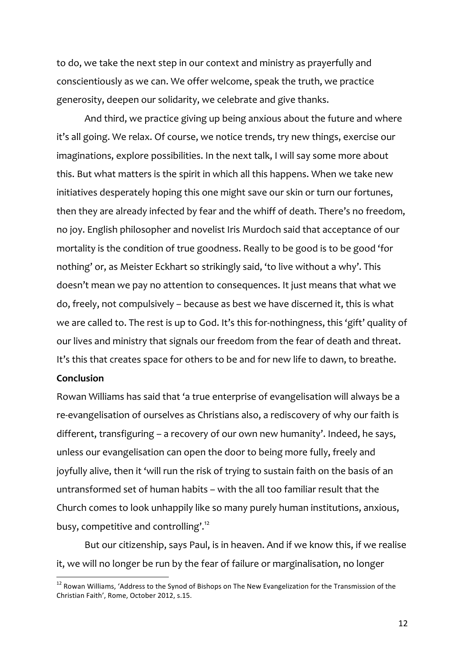to do, we take the next step in our context and ministry as prayerfully and conscientiously as we can. We offer welcome, speak the truth, we practice generosity, deepen our solidarity, we celebrate and give thanks.

And third, we practice giving up being anxious about the future and where it's all going. We relax. Of course, we notice trends, try new things, exercise our imaginations, explore possibilities. In the next talk, I will say some more about this. But what matters is the spirit in which all this happens. When we take new initiatives desperately hoping this one might save our skin or turn our fortunes, then they are already infected by fear and the whiff of death. There's no freedom, no joy. English philosopher and novelist Iris Murdoch said that acceptance of our mortality is the condition of true goodness. Really to be good is to be good 'for nothing' or, as Meister Eckhart so strikingly said, 'to live without a why'. This doesn't mean we pay no attention to consequences. It just means that what we do, freely, not compulsively – because as best we have discerned it, this is what we are called to. The rest is up to God. It's this for-nothingness, this 'gift' quality of our lives and ministry that signals our freedom from the fear of death and threat. It's this that creates space for others to be and for new life to dawn, to breathe.

### **Conclusion**

Rowan Williams has said that 'a true enterprise of evangelisation will always be a re-evangelisation of ourselves as Christians also, a rediscovery of why our faith is different, transfiguring – a recovery of our own new humanity'. Indeed, he says, unless our evangelisation can open the door to being more fully, freely and joyfully alive, then it 'will run the risk of trying to sustain faith on the basis of an untransformed set of human habits – with the all too familiar result that the Church comes to look unhappily like so many purely human institutions, anxious, busy, competitive and controlling'.<sup>12</sup>

But our citizenship, says Paul, is in heaven. And if we know this, if we realise it, we will no longer be run by the fear of failure or marginalisation, no longer

 $12$  Rowan Williams, 'Address to the Synod of Bishops on The New Evangelization for the Transmission of the Christian Faith', Rome, October 2012, s.15.